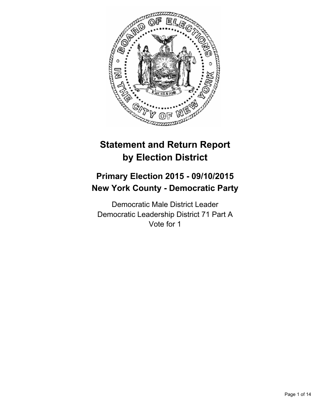

# **Statement and Return Report by Election District**

# **Primary Election 2015 - 09/10/2015 New York County - Democratic Party**

Democratic Male District Leader Democratic Leadership District 71 Part A Vote for 1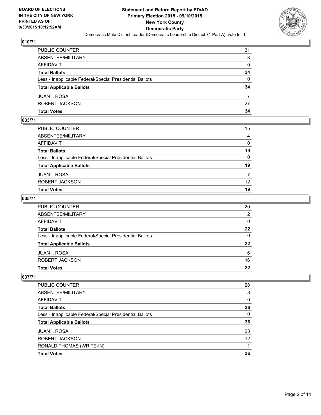

| PUBLIC COUNTER                                           | 31           |
|----------------------------------------------------------|--------------|
| ABSENTEE/MILITARY                                        | 3            |
| AFFIDAVIT                                                | $\mathbf{0}$ |
| Total Ballots                                            | 34           |
| Less - Inapplicable Federal/Special Presidential Ballots | $\mathbf{0}$ |
| <b>Total Applicable Ballots</b>                          | 34           |
| JUAN I. ROSA                                             | 7            |
| ROBERT JACKSON                                           | 27           |
| Total Votes                                              | 34           |

## **033/71**

| PUBLIC COUNTER                                           | 15              |
|----------------------------------------------------------|-----------------|
| ABSENTEE/MILITARY                                        | 4               |
| AFFIDAVIT                                                | 0               |
| Total Ballots                                            | 19              |
| Less - Inapplicable Federal/Special Presidential Ballots | $\mathbf{0}$    |
| <b>Total Applicable Ballots</b>                          | 19              |
| JUAN I. ROSA                                             | 7               |
| ROBERT JACKSON                                           | 12 <sup>2</sup> |
| Total Votes                                              | 19              |
|                                                          |                 |

### **035/71**

| PUBLIC COUNTER                                           | 20           |
|----------------------------------------------------------|--------------|
| ABSENTEE/MILITARY                                        | 2            |
| AFFIDAVIT                                                | $\mathbf{0}$ |
| <b>Total Ballots</b>                                     | 22           |
| Less - Inapplicable Federal/Special Presidential Ballots | $\mathbf{0}$ |
| <b>Total Applicable Ballots</b>                          | 22           |
| JUAN I. ROSA                                             | 6            |
| ROBERT JACKSON                                           | 16           |
| <b>Total Votes</b>                                       | 22           |
|                                                          |              |

| PUBLIC COUNTER                                           | 28 |
|----------------------------------------------------------|----|
| ABSENTEE/MILITARY                                        | 8  |
| AFFIDAVIT                                                | 0  |
| <b>Total Ballots</b>                                     | 36 |
| Less - Inapplicable Federal/Special Presidential Ballots | 0  |
| <b>Total Applicable Ballots</b>                          | 36 |
| <b>JUAN I. ROSA</b>                                      | 23 |
| ROBERT JACKSON                                           | 12 |
| RONALD THOMAS (WRITE-IN)                                 |    |
| <b>Total Votes</b>                                       | 36 |
|                                                          |    |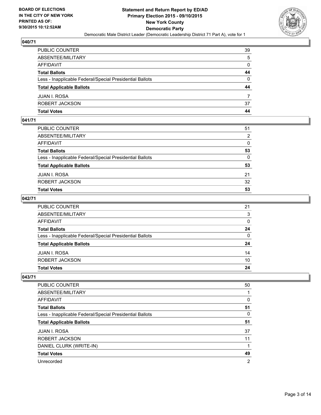

| PUBLIC COUNTER                                           | 39           |
|----------------------------------------------------------|--------------|
| ABSENTEE/MILITARY                                        | 5            |
| AFFIDAVIT                                                | $\mathbf{0}$ |
| Total Ballots                                            | 44           |
| Less - Inapplicable Federal/Special Presidential Ballots | $\mathbf{0}$ |
| <b>Total Applicable Ballots</b>                          | 44           |
| JUAN I. ROSA                                             | 7            |
| ROBERT JACKSON                                           | 37           |
| Total Votes                                              | 44           |

## **041/71**

| Total Votes                                              | 53           |
|----------------------------------------------------------|--------------|
| ROBERT JACKSON                                           | 32           |
| JUAN I. ROSA                                             | 21           |
| <b>Total Applicable Ballots</b>                          | 53           |
| Less - Inapplicable Federal/Special Presidential Ballots | $\mathbf{0}$ |
| Total Ballots                                            | 53           |
| AFFIDAVIT                                                | $\mathbf{0}$ |
| ABSENTEE/MILITARY                                        | 2            |
| PUBLIC COUNTER                                           | 51           |
|                                                          |              |

### **042/71**

| PUBLIC COUNTER                                           | 21           |
|----------------------------------------------------------|--------------|
| ABSENTEE/MILITARY                                        | 3            |
| AFFIDAVIT                                                | $\mathbf{0}$ |
| Total Ballots                                            | 24           |
| Less - Inapplicable Federal/Special Presidential Ballots | $\mathbf{0}$ |
| <b>Total Applicable Ballots</b>                          | 24           |
| JUAN I. ROSA                                             | 14           |
| ROBERT JACKSON                                           | 10           |
| Total Votes                                              | 24           |
|                                                          |              |

| <b>PUBLIC COUNTER</b>                                    | 50 |
|----------------------------------------------------------|----|
| ABSENTEE/MILITARY                                        |    |
| <b>AFFIDAVIT</b>                                         | 0  |
| <b>Total Ballots</b>                                     | 51 |
| Less - Inapplicable Federal/Special Presidential Ballots | 0  |
| <b>Total Applicable Ballots</b>                          | 51 |
| <b>JUAN I. ROSA</b>                                      | 37 |
| ROBERT JACKSON                                           | 11 |
| DANIEL CLURK (WRITE-IN)                                  | 1  |
| <b>Total Votes</b>                                       | 49 |
| Unrecorded                                               | 2  |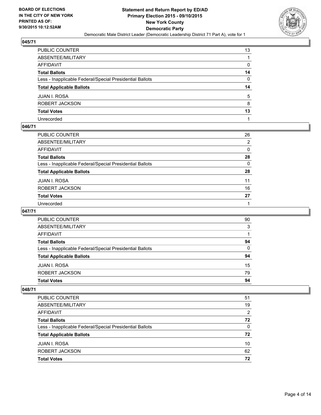

| PUBLIC COUNTER                                           | 13 |
|----------------------------------------------------------|----|
| ABSENTEE/MILITARY                                        |    |
| AFFIDAVIT                                                | 0  |
| Total Ballots                                            | 14 |
| Less - Inapplicable Federal/Special Presidential Ballots | 0  |
| <b>Total Applicable Ballots</b>                          | 14 |
| JUAN I. ROSA                                             | 5  |
| ROBERT JACKSON                                           | 8  |
| <b>Total Votes</b>                                       | 13 |
| Unrecorded                                               |    |

### **046/71**

| PUBLIC COUNTER                                           | 26           |
|----------------------------------------------------------|--------------|
| ABSENTEE/MILITARY                                        | 2            |
| AFFIDAVIT                                                | 0            |
| Total Ballots                                            | 28           |
| Less - Inapplicable Federal/Special Presidential Ballots | $\mathbf{0}$ |
| <b>Total Applicable Ballots</b>                          | 28           |
| JUAN I. ROSA                                             | 11           |
| ROBERT JACKSON                                           | 16           |
| <b>Total Votes</b>                                       | 27           |
| Unrecorded                                               |              |

#### **047/71**

| <b>Total Votes</b>                                       | 94       |
|----------------------------------------------------------|----------|
| ROBERT JACKSON                                           | 79       |
| <b>JUAN I. ROSA</b>                                      | 15       |
| <b>Total Applicable Ballots</b>                          | 94       |
| Less - Inapplicable Federal/Special Presidential Ballots | $\Omega$ |
| <b>Total Ballots</b>                                     | 94       |
| AFFIDAVIT                                                |          |
| ABSENTEE/MILITARY                                        | 3        |
| <b>PUBLIC COUNTER</b>                                    | 90       |

| <b>PUBLIC COUNTER</b>                                    | 51 |
|----------------------------------------------------------|----|
| ABSENTEE/MILITARY                                        | 19 |
| AFFIDAVIT                                                | 2  |
| <b>Total Ballots</b>                                     | 72 |
| Less - Inapplicable Federal/Special Presidential Ballots | 0  |
| <b>Total Applicable Ballots</b>                          | 72 |
| JUAN I. ROSA                                             | 10 |
| ROBERT JACKSON                                           | 62 |
| <b>Total Votes</b>                                       | 72 |
|                                                          |    |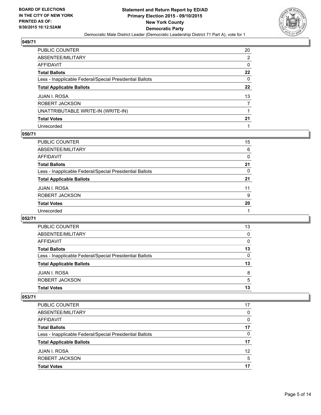

| PUBLIC COUNTER                                           | 20               |
|----------------------------------------------------------|------------------|
| ABSENTEE/MILITARY                                        | 2                |
| AFFIDAVIT                                                | 0                |
| Total Ballots                                            | 22               |
| Less - Inapplicable Federal/Special Presidential Ballots | 0                |
| <b>Total Applicable Ballots</b>                          | $22\phantom{.0}$ |
| JUAN I. ROSA                                             | 13               |
| ROBERT JACKSON                                           |                  |
| UNATTRIBUTABLE WRITE-IN (WRITE-IN)                       |                  |
| <b>Total Votes</b>                                       | 21               |
| Unrecorded                                               |                  |

#### **050/71**

| PUBLIC COUNTER                                           | 15       |
|----------------------------------------------------------|----------|
| ABSENTEE/MILITARY                                        | 6        |
| <b>AFFIDAVIT</b>                                         | $\Omega$ |
| <b>Total Ballots</b>                                     | 21       |
| Less - Inapplicable Federal/Special Presidential Ballots | $\Omega$ |
| <b>Total Applicable Ballots</b>                          | 21       |
| <b>JUAN I. ROSA</b>                                      | 11       |
| ROBERT JACKSON                                           | 9        |
| <b>Total Votes</b>                                       | 20       |
| Unrecorded                                               |          |
|                                                          |          |

#### **052/71**

| <b>PUBLIC COUNTER</b>                                    | 13       |
|----------------------------------------------------------|----------|
| ABSENTEE/MILITARY                                        | $\Omega$ |
| <b>AFFIDAVIT</b>                                         | 0        |
| <b>Total Ballots</b>                                     | 13       |
| Less - Inapplicable Federal/Special Presidential Ballots | 0        |
| <b>Total Applicable Ballots</b>                          | 13       |
| <b>JUAN I. ROSA</b>                                      | 8        |
| ROBERT JACKSON                                           | 5        |
| <b>Total Votes</b>                                       | 13       |

| <b>PUBLIC COUNTER</b>                                    | 17 |
|----------------------------------------------------------|----|
|                                                          |    |
| ABSENTEE/MILITARY                                        | 0  |
| AFFIDAVIT                                                | 0  |
| <b>Total Ballots</b>                                     | 17 |
| Less - Inapplicable Federal/Special Presidential Ballots | 0  |
| <b>Total Applicable Ballots</b>                          | 17 |
| <b>JUAN I. ROSA</b>                                      | 12 |
| ROBERT JACKSON                                           | 5  |
| <b>Total Votes</b>                                       | 17 |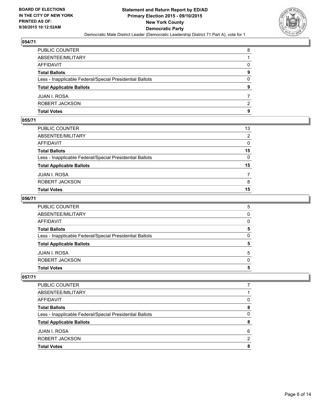

| PUBLIC COUNTER                                           | 8            |
|----------------------------------------------------------|--------------|
| ABSENTEE/MILITARY                                        |              |
| AFFIDAVIT                                                | $\mathbf{0}$ |
| Total Ballots                                            | 9            |
| Less - Inapplicable Federal/Special Presidential Ballots | $\mathbf{0}$ |
| <b>Total Applicable Ballots</b>                          | 9            |
| JUAN I. ROSA                                             |              |
| ROBERT JACKSON                                           | 2            |
| Total Votes                                              | 9            |

## **055/71**

| Total Votes                                              | 15             |
|----------------------------------------------------------|----------------|
| ROBERT JACKSON                                           | 8              |
| JUAN I. ROSA                                             | $\overline{7}$ |
| <b>Total Applicable Ballots</b>                          | 15             |
| Less - Inapplicable Federal/Special Presidential Ballots | $\mathbf{0}$   |
| Total Ballots                                            | 15             |
| AFFIDAVIT                                                | 0              |
| ABSENTEE/MILITARY                                        | 2              |
| PUBLIC COUNTER                                           | 13             |
|                                                          |                |

### **056/71**

| PUBLIC COUNTER                                           | 5            |
|----------------------------------------------------------|--------------|
| ABSENTEE/MILITARY                                        | $\mathbf{0}$ |
| AFFIDAVIT                                                | $\Omega$     |
| <b>Total Ballots</b>                                     | 5            |
| Less - Inapplicable Federal/Special Presidential Ballots | 0            |
| <b>Total Applicable Ballots</b>                          | 5            |
| JUAN I. ROSA                                             | 5            |
| ROBERT JACKSON                                           | $\Omega$     |
| Total Votes                                              | 5            |
|                                                          |              |

| PUBLIC COUNTER                                           |              |
|----------------------------------------------------------|--------------|
| ABSENTEE/MILITARY                                        |              |
| <b>AFFIDAVIT</b>                                         | O            |
| <b>Total Ballots</b>                                     | 8            |
| Less - Inapplicable Federal/Special Presidential Ballots | <sup>0</sup> |
| <b>Total Applicable Ballots</b>                          | 8            |
| <b>JUAN I. ROSA</b>                                      | 6            |
| ROBERT JACKSON                                           | ົ            |
| <b>Total Votes</b>                                       | 8            |
|                                                          |              |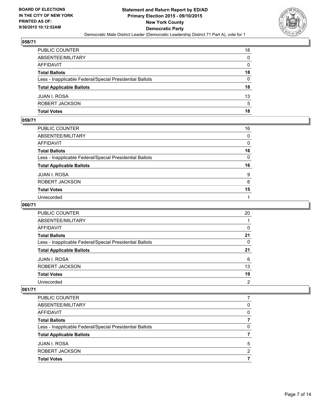

| PUBLIC COUNTER                                           | 18           |
|----------------------------------------------------------|--------------|
| ABSENTEE/MILITARY                                        | $\mathbf{0}$ |
| AFFIDAVIT                                                | $\mathbf{0}$ |
| Total Ballots                                            | 18           |
| Less - Inapplicable Federal/Special Presidential Ballots | $\mathbf{0}$ |
| <b>Total Applicable Ballots</b>                          | 18           |
| JUAN I. ROSA                                             | 13           |
| ROBERT JACKSON                                           | 5            |
| Total Votes                                              | 18           |

## **059/71**

| PUBLIC COUNTER                                           | 16           |
|----------------------------------------------------------|--------------|
| ABSENTEE/MILITARY                                        | 0            |
| AFFIDAVIT                                                | 0            |
| Total Ballots                                            | 16           |
| Less - Inapplicable Federal/Special Presidential Ballots | $\mathbf{0}$ |
| <b>Total Applicable Ballots</b>                          | 16           |
| JUAN I. ROSA                                             | 9            |
| ROBERT JACKSON                                           | 6            |
| Total Votes                                              | 15           |
| Unrecorded                                               |              |
|                                                          |              |

### **060/71**

| PUBLIC COUNTER                                           | 20 |
|----------------------------------------------------------|----|
| ABSENTEE/MILITARY                                        |    |
| <b>AFFIDAVIT</b>                                         | 0  |
| <b>Total Ballots</b>                                     | 21 |
| Less - Inapplicable Federal/Special Presidential Ballots | 0  |
| <b>Total Applicable Ballots</b>                          | 21 |
| <b>JUAN I. ROSA</b>                                      | 6  |
| ROBERT JACKSON                                           | 13 |
| <b>Total Votes</b>                                       | 19 |
| Unrecorded                                               | 2  |

| PUBLIC COUNTER                                           |   |
|----------------------------------------------------------|---|
| ABSENTEE/MILITARY                                        | 0 |
| AFFIDAVIT                                                | 0 |
| <b>Total Ballots</b>                                     | 7 |
| Less - Inapplicable Federal/Special Presidential Ballots | 0 |
| <b>Total Applicable Ballots</b>                          |   |
| JUAN I. ROSA                                             | 5 |
| ROBERT JACKSON                                           | 2 |
| <b>Total Votes</b>                                       |   |
|                                                          |   |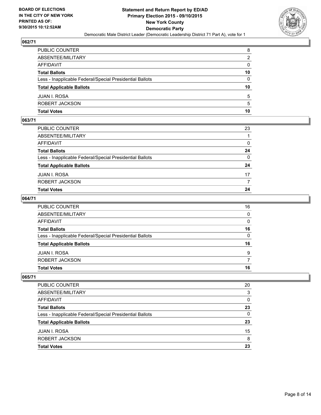

| PUBLIC COUNTER                                           | 8               |
|----------------------------------------------------------|-----------------|
| ABSENTEE/MILITARY                                        | 2               |
| AFFIDAVIT                                                | $\mathbf{0}$    |
| Total Ballots                                            | 10              |
| Less - Inapplicable Federal/Special Presidential Ballots | $\mathbf{0}$    |
| <b>Total Applicable Ballots</b>                          | 10 <sup>1</sup> |
| JUAN I. ROSA                                             | 5               |
| ROBERT JACKSON                                           | 5               |
| Total Votes                                              | 10              |

## **063/71**

| PUBLIC COUNTER                                           | 23           |
|----------------------------------------------------------|--------------|
| ABSENTEE/MILITARY                                        |              |
| AFFIDAVIT                                                | 0            |
| Total Ballots                                            | 24           |
| Less - Inapplicable Federal/Special Presidential Ballots | $\mathbf{0}$ |
| <b>Total Applicable Ballots</b>                          | 24           |
| JUAN I. ROSA                                             | 17           |
| ROBERT JACKSON                                           | 7            |
| Total Votes                                              | 24           |
|                                                          |              |

### **064/71**

| PUBLIC COUNTER                                           | 16           |
|----------------------------------------------------------|--------------|
|                                                          |              |
| ABSENTEE/MILITARY                                        | $\mathbf{0}$ |
| AFFIDAVIT                                                | $\Omega$     |
| <b>Total Ballots</b>                                     | 16           |
| Less - Inapplicable Federal/Special Presidential Ballots | $\mathbf{0}$ |
| <b>Total Applicable Ballots</b>                          | 16           |
| JUAN I. ROSA                                             | 9            |
| ROBERT JACKSON                                           | 7            |
| <b>Total Votes</b>                                       | 16           |
|                                                          |              |

| PUBLIC COUNTER                                           | 20 |
|----------------------------------------------------------|----|
| ABSENTEE/MILITARY                                        | 3  |
| AFFIDAVIT                                                | 0  |
| <b>Total Ballots</b>                                     | 23 |
| Less - Inapplicable Federal/Special Presidential Ballots | 0  |
| <b>Total Applicable Ballots</b>                          | 23 |
| JUAN I. ROSA                                             | 15 |
| ROBERT JACKSON                                           | 8  |
| <b>Total Votes</b>                                       | 23 |
|                                                          |    |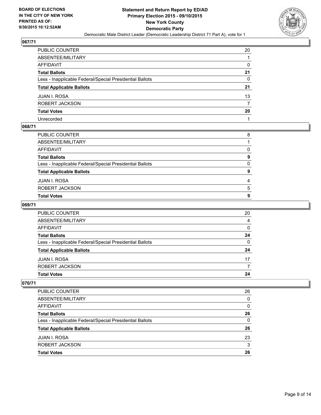

| PUBLIC COUNTER                                           | 20 |
|----------------------------------------------------------|----|
| ABSENTEE/MILITARY                                        |    |
| AFFIDAVIT                                                | 0  |
| Total Ballots                                            | 21 |
| Less - Inapplicable Federal/Special Presidential Ballots | 0  |
| <b>Total Applicable Ballots</b>                          | 21 |
| JUAN I. ROSA                                             | 13 |
| ROBERT JACKSON                                           |    |
| <b>Total Votes</b>                                       | 20 |
| Unrecorded                                               |    |

### **068/71**

| PUBLIC COUNTER                                           | 8 |
|----------------------------------------------------------|---|
| ABSENTEE/MILITARY                                        |   |
| AFFIDAVIT                                                | 0 |
| Total Ballots                                            | 9 |
| Less - Inapplicable Federal/Special Presidential Ballots | 0 |
| <b>Total Applicable Ballots</b>                          | 9 |
| JUAN I. ROSA                                             | 4 |
| ROBERT JACKSON                                           | 5 |
| <b>Total Votes</b>                                       | 9 |
|                                                          |   |

## **069/71**

| <b>Total Votes</b>                                       | 24 |
|----------------------------------------------------------|----|
| ROBERT JACKSON                                           |    |
| <b>JUAN I. ROSA</b>                                      | 17 |
| <b>Total Applicable Ballots</b>                          | 24 |
| Less - Inapplicable Federal/Special Presidential Ballots | 0  |
| <b>Total Ballots</b>                                     | 24 |
| AFFIDAVIT                                                | 0  |
| ABSENTEE/MILITARY                                        | 4  |
| <b>PUBLIC COUNTER</b>                                    | 20 |

| PUBLIC COUNTER                                           | 26 |
|----------------------------------------------------------|----|
| ABSENTEE/MILITARY                                        | 0  |
| AFFIDAVIT                                                | 0  |
| <b>Total Ballots</b>                                     | 26 |
| Less - Inapplicable Federal/Special Presidential Ballots | 0  |
| <b>Total Applicable Ballots</b>                          | 26 |
| <b>JUAN I. ROSA</b>                                      | 23 |
| ROBERT JACKSON                                           | 3  |
| <b>Total Votes</b>                                       | 26 |
|                                                          |    |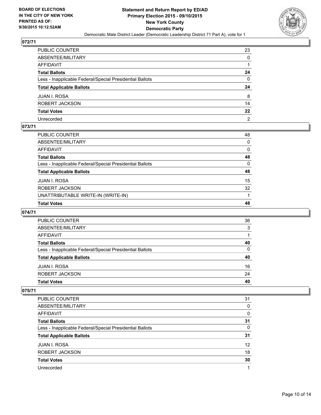

| PUBLIC COUNTER                                           | 23               |
|----------------------------------------------------------|------------------|
| ABSENTEE/MILITARY                                        | 0                |
| AFFIDAVIT                                                |                  |
| Total Ballots                                            | 24               |
| Less - Inapplicable Federal/Special Presidential Ballots | 0                |
| <b>Total Applicable Ballots</b>                          | 24               |
| JUAN I. ROSA                                             | 8                |
| ROBERT JACKSON                                           | 14               |
| <b>Total Votes</b>                                       | $22\phantom{.0}$ |
| Unrecorded                                               | 2                |

### **073/71**

| PUBLIC COUNTER                                           | 48       |
|----------------------------------------------------------|----------|
| ABSENTEE/MILITARY                                        | $\Omega$ |
| AFFIDAVIT                                                | 0        |
| Total Ballots                                            | 48       |
| Less - Inapplicable Federal/Special Presidential Ballots | 0        |
| <b>Total Applicable Ballots</b>                          | 48       |
| JUAN I. ROSA                                             | 15       |
| ROBERT JACKSON                                           | 32       |
| UNATTRIBUTABLE WRITE-IN (WRITE-IN)                       |          |
| <b>Total Votes</b>                                       | 48       |

# **074/71**

| <b>PUBLIC COUNTER</b>                                    | 36 |
|----------------------------------------------------------|----|
| ABSENTEE/MILITARY                                        | 3  |
| AFFIDAVIT                                                |    |
| <b>Total Ballots</b>                                     | 40 |
| Less - Inapplicable Federal/Special Presidential Ballots | 0  |
| <b>Total Applicable Ballots</b>                          | 40 |
| <b>JUAN I. ROSA</b>                                      | 16 |
| ROBERT JACKSON                                           | 24 |
| <b>Total Votes</b>                                       | 40 |
|                                                          |    |

| <b>PUBLIC COUNTER</b>                                    | 31       |
|----------------------------------------------------------|----------|
| ABSENTEE/MILITARY                                        | 0        |
| AFFIDAVIT                                                | $\Omega$ |
| <b>Total Ballots</b>                                     | 31       |
| Less - Inapplicable Federal/Special Presidential Ballots | $\Omega$ |
| <b>Total Applicable Ballots</b>                          | 31       |
| <b>JUAN I. ROSA</b>                                      | 12       |
| ROBERT JACKSON                                           | 18       |
| <b>Total Votes</b>                                       | 30       |
| Unrecorded                                               |          |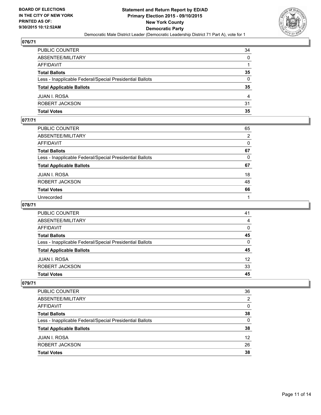

| PUBLIC COUNTER                                           | 34           |
|----------------------------------------------------------|--------------|
| ABSENTEE/MILITARY                                        | $\mathbf{0}$ |
| AFFIDAVIT                                                |              |
| Total Ballots                                            | 35           |
| Less - Inapplicable Federal/Special Presidential Ballots | $\mathbf{0}$ |
| <b>Total Applicable Ballots</b>                          | 35           |
| JUAN I. ROSA                                             | 4            |
| ROBERT JACKSON                                           | 31           |
| Total Votes                                              | 35           |

## **077/71**

| PUBLIC COUNTER                                           | 65       |
|----------------------------------------------------------|----------|
| ABSENTEE/MILITARY                                        | 2        |
| AFFIDAVIT                                                | 0        |
| Total Ballots                                            | 67       |
| Less - Inapplicable Federal/Special Presidential Ballots | $\Omega$ |
| <b>Total Applicable Ballots</b>                          | 67       |
| JUAN I. ROSA                                             | 18       |
| ROBERT JACKSON                                           | 48       |
| <b>Total Votes</b>                                       | 66       |
| Unrecorded                                               |          |

### **078/71**

| PUBLIC COUNTER                                           | 41              |
|----------------------------------------------------------|-----------------|
| ABSENTEE/MILITARY                                        | 4               |
| <b>AFFIDAVIT</b>                                         | $\Omega$        |
| <b>Total Ballots</b>                                     | 45              |
| Less - Inapplicable Federal/Special Presidential Ballots | $\Omega$        |
| <b>Total Applicable Ballots</b>                          | 45              |
| <b>JUAN I. ROSA</b>                                      | 12 <sup>2</sup> |
| ROBERT JACKSON                                           | 33              |
| <b>Total Votes</b>                                       | 45              |

| PUBLIC COUNTER                                           | 36 |
|----------------------------------------------------------|----|
| ABSENTEE/MILITARY                                        | 2  |
| AFFIDAVIT                                                | 0  |
| <b>Total Ballots</b>                                     | 38 |
| Less - Inapplicable Federal/Special Presidential Ballots | 0  |
| <b>Total Applicable Ballots</b>                          | 38 |
| <b>JUAN I. ROSA</b>                                      | 12 |
| ROBERT JACKSON                                           | 26 |
| <b>Total Votes</b>                                       | 38 |
|                                                          |    |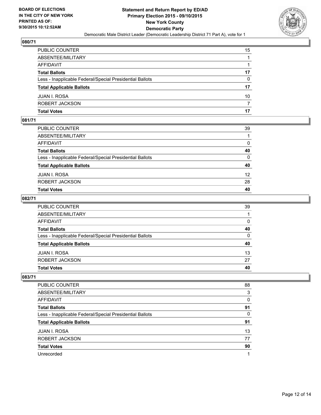

| PUBLIC COUNTER                                           | 15 |
|----------------------------------------------------------|----|
| ABSENTEE/MILITARY                                        | 1  |
| AFFIDAVIT                                                |    |
| Total Ballots                                            | 17 |
| Less - Inapplicable Federal/Special Presidential Ballots | 0  |
| <b>Total Applicable Ballots</b>                          | 17 |
| JUAN I. ROSA                                             | 10 |
| ROBERT JACKSON                                           | 7  |
| Total Votes                                              | 17 |

## **081/71**

| PUBLIC COUNTER                                           | 39              |
|----------------------------------------------------------|-----------------|
| ABSENTEE/MILITARY                                        |                 |
| AFFIDAVIT                                                | $\mathbf{0}$    |
| Total Ballots                                            | 40              |
| Less - Inapplicable Federal/Special Presidential Ballots | $\mathbf{0}$    |
| <b>Total Applicable Ballots</b>                          | 40              |
| JUAN I. ROSA                                             | 12 <sup>2</sup> |
| ROBERT JACKSON                                           | 28              |
| Total Votes                                              | 40              |
|                                                          |                 |

### **082/71**

| PUBLIC COUNTER                                           | 39           |
|----------------------------------------------------------|--------------|
| ABSENTEE/MILITARY                                        |              |
| AFFIDAVIT                                                | $\mathbf{0}$ |
| Total Ballots                                            | 40           |
| Less - Inapplicable Federal/Special Presidential Ballots | $\mathbf{0}$ |
| <b>Total Applicable Ballots</b>                          | 40           |
| JUAN I. ROSA                                             | 13           |
| ROBERT JACKSON                                           | 27           |
| Total Votes                                              | 40           |
|                                                          |              |

| <b>PUBLIC COUNTER</b>                                    | 88 |
|----------------------------------------------------------|----|
| ABSENTEE/MILITARY                                        | 3  |
| <b>AFFIDAVIT</b>                                         | 0  |
| <b>Total Ballots</b>                                     | 91 |
| Less - Inapplicable Federal/Special Presidential Ballots | 0  |
| <b>Total Applicable Ballots</b>                          | 91 |
|                                                          |    |
| <b>JUAN I. ROSA</b>                                      | 13 |
| ROBERT JACKSON                                           | 77 |
| <b>Total Votes</b>                                       | 90 |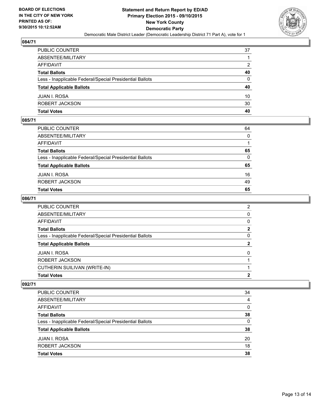

| PUBLIC COUNTER                                           | 37           |
|----------------------------------------------------------|--------------|
| ABSENTEE/MILITARY                                        |              |
| AFFIDAVIT                                                | 2            |
| Total Ballots                                            | 40           |
| Less - Inapplicable Federal/Special Presidential Ballots | $\mathbf{0}$ |
| <b>Total Applicable Ballots</b>                          | 40           |
| JUAN I. ROSA                                             | 10           |
| ROBERT JACKSON                                           | 30           |
| Total Votes                                              | 40           |

### **085/71**

| PUBLIC COUNTER                                           | 64           |
|----------------------------------------------------------|--------------|
| ABSENTEE/MILITARY                                        | $\mathbf{0}$ |
| AFFIDAVIT                                                |              |
| Total Ballots                                            | 65           |
| Less - Inapplicable Federal/Special Presidential Ballots | $\mathbf{0}$ |
| <b>Total Applicable Ballots</b>                          | 65           |
| JUAN I. ROSA                                             | 16           |
| ROBERT JACKSON                                           | 49           |
| Total Votes                                              | 65           |
|                                                          |              |

### **086/71**

| PUBLIC COUNTER                                           | 2            |
|----------------------------------------------------------|--------------|
| ABSENTEE/MILITARY                                        | 0            |
| AFFIDAVIT                                                | $\Omega$     |
| <b>Total Ballots</b>                                     | $\mathbf{2}$ |
| Less - Inapplicable Federal/Special Presidential Ballots | $\mathbf{0}$ |
| <b>Total Applicable Ballots</b>                          | $\mathbf{2}$ |
| JUAN I. ROSA                                             | $\Omega$     |
| ROBERT JACKSON                                           |              |
| CUTHERIN SUILIVAN (WRITE-IN)                             |              |
| <b>Total Votes</b>                                       | 2            |

| PUBLIC COUNTER                                           | 34 |
|----------------------------------------------------------|----|
| ABSENTEE/MILITARY                                        | 4  |
| AFFIDAVIT                                                | 0  |
| <b>Total Ballots</b>                                     | 38 |
| Less - Inapplicable Federal/Special Presidential Ballots | 0  |
| <b>Total Applicable Ballots</b>                          | 38 |
| <b>JUAN I. ROSA</b>                                      | 20 |
| ROBERT JACKSON                                           | 18 |
| <b>Total Votes</b>                                       | 38 |
|                                                          |    |